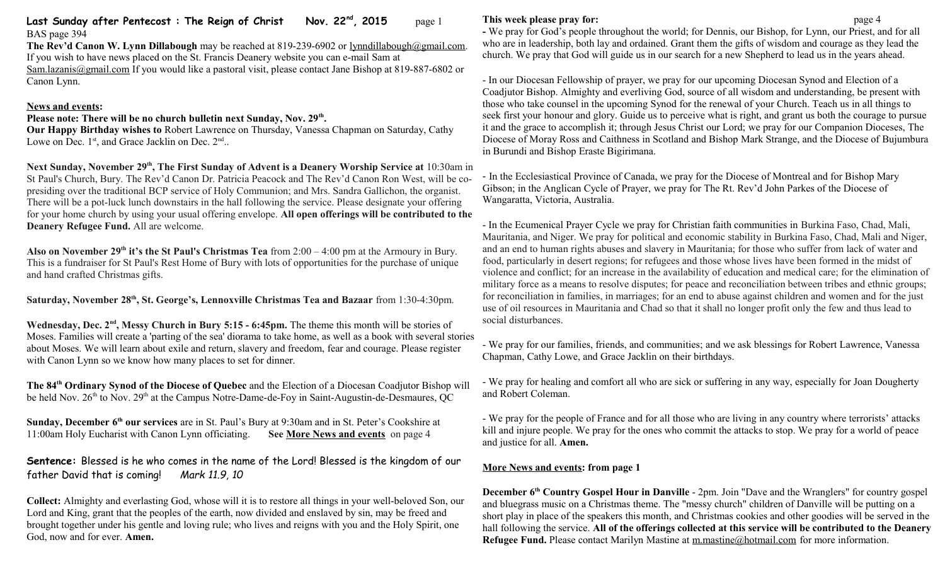### **Last Sunday after Pentecost : The Reign of Christ Nov. 22nd, 2015** page 1 BAS page 394

**The Rev'd Canon W. Lynn Dillabough** may be reached at 819-239-6902 or [lynndillabough@gmail.com.](mailto:lynndillabough@gmail.com) If you wish to have news placed on the St. Francis Deanery website you can e-mail Sam at [Sam.lazanis@gmail.com](mailto:Sam.lazanis@gmail.com) If you would like a pastoral visit, please contact Jane Bishop at 819-887-6802 or

Canon Lynn.

### **News and events:**

## **Please note: There will be no church bulletin next Sunday, Nov. 29th .**

**Our Happy Birthday wishes to** Robert Lawrence on Thursday, Vanessa Chapman on Saturday, Cathy Lowe on Dec.  $1<sup>st</sup>$ , and Grace Jacklin on Dec.  $2<sup>nd</sup>$ .

**Next Sunday, November 29th, The First Sunday of Advent is a Deanery Worship Service at** 10:30am in St Paul's Church, Bury. The Rev'd Canon Dr. Patricia Peacock and The Rev'd Canon Ron West, will be copresiding over the traditional BCP service of Holy Communion; and Mrs. Sandra Gallichon, the organist. There will be a pot-luck lunch downstairs in the hall following the service. Please designate your offering for your home church by using your usual offering envelope. **All open offerings will be contributed to the Deanery Refugee Fund.** All are welcome.

**Also on November 29th it's the St Paul's Christmas Tea** from 2:00 – 4:00 pm at the Armoury in Bury. This is a fundraiser for St Paul's Rest Home of Bury with lots of opportunities for the purchase of unique and hand crafted Christmas gifts.

**Saturday, November 28th, St. George's, Lennoxville Christmas Tea and Bazaar** from 1:30-4:30pm.

Wednesday, Dec. 2<sup>nd</sup>, Messy Church in Bury 5:15 - 6:45pm. The theme this month will be stories of Moses. Families will create a 'parting of the sea' diorama to take home, as well as a book with several stories about Moses. We will learn about exile and return, slavery and freedom, fear and courage. Please register with Canon Lynn so we know how many places to set for dinner.

**The 84th Ordinary Synod of the Diocese of Quebec** and the Election of a Diocesan Coadjutor Bishop will be held Nov. 26<sup>th</sup> to Nov. 29<sup>th</sup> at the Campus Notre-Dame-de-Foy in Saint-Augustin-de-Desmaures, QC

**Sunday, December 6<sup>th</sup> our services** are in St. Paul's Bury at 9:30am and in St. Peter's Cookshire at 11:00am Holy Eucharist with Canon Lynn officiating. See More News and events on page 4 11:00am Holy Eucharist with Canon Lynn officiating.

**Sentence:** Blessed is he who comes in the name of the Lord! Blessed is the kingdom of our father David that is coming! *Mark 11.9, 10*

**Collect:** Almighty and everlasting God, whose will it is to restore all things in your well-beloved Son, our Lord and King, grant that the peoples of the earth, now divided and enslaved by sin, may be freed and brought together under his gentle and loving rule; who lives and reigns with you and the Holy Spirit, one God, now and for ever. **Amen.**

### **This week please pray for: page 4**

**-** We pray for God's people throughout the world; for Dennis, our Bishop, for Lynn, our Priest, and for all who are in leadership, both lay and ordained. Grant them the gifts of wisdom and courage as they lead the church. We pray that God will guide us in our search for a new Shepherd to lead us in the years ahead.

- In our Diocesan Fellowship of prayer, we pray for our upcoming Diocesan Synod and Election of a Coadjutor Bishop. Almighty and everliving God, source of all wisdom and understanding, be present with those who take counsel in the upcoming Synod for the renewal of your Church. Teach us in all things to seek first your honour and glory. Guide us to perceive what is right, and grant us both the courage to pursue it and the grace to accomplish it; through Jesus Christ our Lord; we pray for our Companion Dioceses, The Diocese of Moray Ross and Caithness in Scotland and Bishop Mark Strange, and the Diocese of Bujumbura in Burundi and Bishop Eraste Bigirimana.

- In the Ecclesiastical Province of Canada, we pray for the Diocese of Montreal and for Bishop Mary Gibson; in the Anglican Cycle of Prayer, we pray for The Rt. Rev'd John Parkes of the Diocese of Wangaratta, Victoria, Australia.

- In the Ecumenical Prayer Cycle we pray for Christian faith communities in Burkina Faso, Chad, Mali, Mauritania, and Niger. We pray for political and economic stability in Burkina Faso, Chad, Mali and Niger, and an end to human rights abuses and slavery in Mauritania; for those who suffer from lack of water and food, particularly in desert regions; for refugees and those whose lives have been formed in the midst of violence and conflict; for an increase in the availability of education and medical care; for the elimination of military force as a means to resolve disputes; for peace and reconciliation between tribes and ethnic groups; for reconciliation in families, in marriages; for an end to abuse against children and women and for the just use of oil resources in Mauritania and Chad so that it shall no longer profit only the few and thus lead to social disturbances.

- We pray for our families, friends, and communities; and we ask blessings for Robert Lawrence, Vanessa Chapman, Cathy Lowe, and Grace Jacklin on their birthdays.

- We pray for healing and comfort all who are sick or suffering in any way, especially for Joan Dougherty and Robert Coleman.

- We pray for the people of France and for all those who are living in any country where terrorists' attacks kill and injure people. We pray for the ones who commit the attacks to stop. We pray for a world of peace and justice for all. **Amen.**

# **More News and events: from page 1**

**December 6th Country Gospel Hour in Danville** - 2pm. Join "Dave and the Wranglers" for country gospel and bluegrass music on a Christmas theme. The "messy church" children of Danville will be putting on a short play in place of the speakers this month, and Christmas cookies and other goodies will be served in the hall following the service. **All of the offerings collected at this service will be contributed to the Deanery Refugee Fund.** Please contact Marilyn Mastine at [m.mastine@hotmail.com](mailto:m.mastine@hotmail.com) for more information.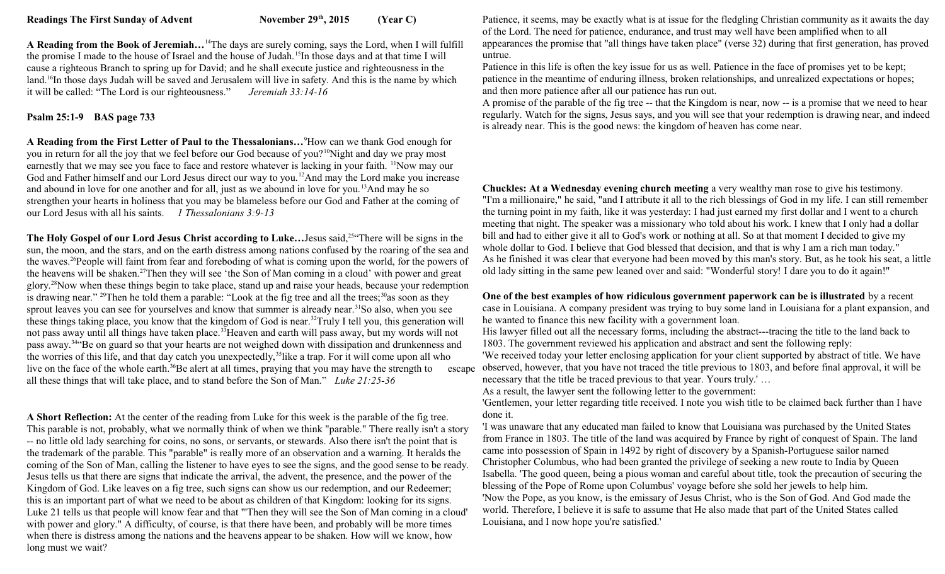**A Reading from the Book of Jeremiah…**<sup>14</sup>The days are surely coming, says the Lord, when I will fulfill the promise I made to the house of Israel and the house of Judah.<sup>15</sup>In those days and at that time I will cause a righteous Branch to spring up for David; and he shall execute justice and righteousness in the land.<sup>16</sup>In those days Judah will be saved and Jerusalem will live in safety. And this is the name by which it will be called: "The Lord is our righteousness." *Jeremiah 33:14-16*

#### **Psalm 25:1-9 BAS page 733**

**A Reading from the First Letter of Paul to the Thessalonians…**<sup>9</sup>How can we thank God enough for you in return for all the joy that we feel before our God because of you?<sup>10</sup>Night and day we pray most earnestly that we may see you face to face and restore whatever is lacking in your faith. <sup>11</sup>Now may our God and Father himself and our Lord Jesus direct our way to you.<sup>12</sup>And may the Lord make you increase and abound in love for one another and for all, just as we abound in love for you.<sup>13</sup>And may he so strengthen your hearts in holiness that you may be blameless before our God and Father at the coming of our Lord Jesus with all his saints. *1 Thessalonians 3:9-13*

**The Holy Gospel of our Lord Jesus Christ according to Luke…**Jesus said,<sup>25</sup>"There will be signs in the sun, the moon, and the stars, and on the earth distress among nations confused by the roaring of the sea and the waves.<sup>26</sup>People will faint from fear and foreboding of what is coming upon the world, for the powers of the heavens will be shaken.<sup>27</sup>Then they will see 'the Son of Man coming in a cloud' with power and great glory.<sup>28</sup>Now when these things begin to take place, stand up and raise your heads, because your redemption is drawing near." <sup>29</sup>Then he told them a parable: "Look at the fig tree and all the trees;  $30$ as soon as they sprout leaves you can see for yourselves and know that summer is already near.<sup>31</sup>So also, when you see these things taking place, you know that the kingdom of God is near.<sup>32</sup>Truly I tell you, this generation will not pass away until all things have taken place.<sup>33</sup>Heaven and earth will pass away, but my words will not pass away.<sup>34</sup>"Be on guard so that your hearts are not weighed down with dissipation and drunkenness and the worries of this life, and that day catch you unexpectedly,<sup>35</sup>like a trap. For it will come upon all who live on the face of the whole earth.<sup>36</sup>Be alert at all times, praying that you may have the strength to all these things that will take place, and to stand before the Son of Man." *Luke 21:25-36* 

**A Short Reflection:** At the center of the reading from Luke for this week is the parable of the fig tree. This parable is not, probably, what we normally think of when we think "parable." There really isn't a story -- no little old lady searching for coins, no sons, or servants, or stewards. Also there isn't the point that is the trademark of the parable. This "parable" is really more of an observation and a warning. It heralds the coming of the Son of Man, calling the listener to have eyes to see the signs, and the good sense to be ready. Jesus tells us that there are signs that indicate the arrival, the advent, the presence, and the power of the Kingdom of God. Like leaves on a fig tree, such signs can show us our redemption, and our Redeemer; this is an important part of what we need to be about as children of that Kingdom: looking for its signs. Luke 21 tells us that people will know fear and that "'Then they will see the Son of Man coming in a cloud' with power and glory." A difficulty, of course, is that there have been, and probably will be more times when there is distress among the nations and the heavens appear to be shaken. How will we know, how long must we wait?

Patience, it seems, may be exactly what is at issue for the fledgling Christian community as it awaits the day of the Lord. The need for patience, endurance, and trust may well have been amplified when to all appearances the promise that "all things have taken place" (verse 32) during that first generation, has proved untrue.

Patience in this life is often the key issue for us as well. Patience in the face of promises yet to be kept; patience in the meantime of enduring illness, broken relationships, and unrealized expectations or hopes; and then more patience after all our patience has run out.

A promise of the parable of the fig tree -- that the Kingdom is near, now -- is a promise that we need to hear regularly. Watch for the signs, Jesus says, and you will see that your redemption is drawing near, and indeed is already near. This is the good news: the kingdom of heaven has come near.

**Chuckles: At a Wednesday evening church meeting** a very wealthy man rose to give his testimony. "I'm a millionaire," he said, "and I attribute it all to the rich blessings of God in my life. I can still remember the turning point in my faith, like it was yesterday: I had just earned my first dollar and I went to a church meeting that night. The speaker was a missionary who told about his work. I knew that I only had a dollar bill and had to either give it all to God's work or nothing at all. So at that moment I decided to give my whole dollar to God. I believe that God blessed that decision, and that is why I am a rich man today." As he finished it was clear that everyone had been moved by this man's story. But, as he took his seat, a little old lady sitting in the same pew leaned over and said: "Wonderful story! I dare you to do it again!"

**One of the best examples of how ridiculous government paperwork can be is illustrated** by a recent case in Louisiana. A company president was trying to buy some land in Louisiana for a plant expansion, and he wanted to finance this new facility with a government loan.

His lawyer filled out all the necessary forms, including the abstract---tracing the title to the land back to 1803. The government reviewed his application and abstract and sent the following reply:

'We received today your letter enclosing application for your client supported by abstract of title. We have escape observed, however, that you have not traced the title previous to 1803, and before final approval, it will be necessary that the title be traced previous to that year. Yours truly.' …

As a result, the lawyer sent the following letter to the government:

'Gentlemen, your letter regarding title received. I note you wish title to be claimed back further than I have done it.

'I was unaware that any educated man failed to know that Louisiana was purchased by the United States from France in 1803. The title of the land was acquired by France by right of conquest of Spain. The land came into possession of Spain in 1492 by right of discovery by a Spanish-Portuguese sailor named Christopher Columbus, who had been granted the privilege of seeking a new route to India by Queen Isabella. 'The good queen, being a pious woman and careful about title, took the precaution of securing the blessing of the Pope of Rome upon Columbus' voyage before she sold her jewels to help him. 'Now the Pope, as you know, is the emissary of Jesus Christ, who is the Son of God. And God made the world. Therefore, I believe it is safe to assume that He also made that part of the United States called Louisiana, and I now hope you're satisfied.'